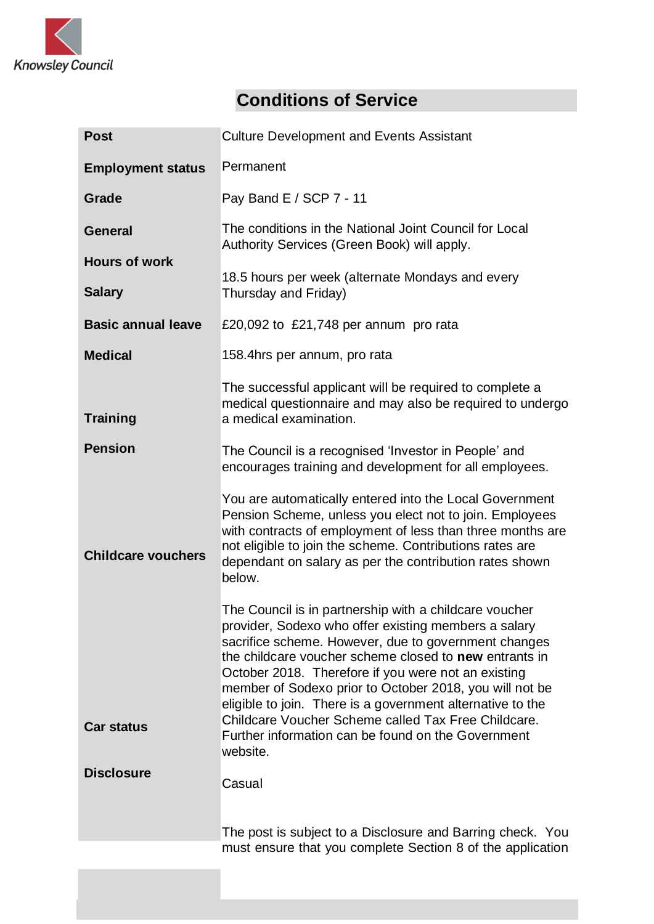

## **Conditions of Service**

| <b>Post</b>               | <b>Culture Development and Events Assistant</b>                                                                                                                                                                                                                                                                                                                                                                                                                                |  |  |
|---------------------------|--------------------------------------------------------------------------------------------------------------------------------------------------------------------------------------------------------------------------------------------------------------------------------------------------------------------------------------------------------------------------------------------------------------------------------------------------------------------------------|--|--|
| <b>Employment status</b>  | Permanent                                                                                                                                                                                                                                                                                                                                                                                                                                                                      |  |  |
| Grade                     | Pay Band E / SCP 7 - 11                                                                                                                                                                                                                                                                                                                                                                                                                                                        |  |  |
| <b>General</b>            | The conditions in the National Joint Council for Local<br>Authority Services (Green Book) will apply.                                                                                                                                                                                                                                                                                                                                                                          |  |  |
| <b>Hours of work</b>      |                                                                                                                                                                                                                                                                                                                                                                                                                                                                                |  |  |
| <b>Salary</b>             | 18.5 hours per week (alternate Mondays and every<br>Thursday and Friday)                                                                                                                                                                                                                                                                                                                                                                                                       |  |  |
| <b>Basic annual leave</b> | £20,092 to £21,748 per annum pro rata                                                                                                                                                                                                                                                                                                                                                                                                                                          |  |  |
| <b>Medical</b>            | 158.4hrs per annum, pro rata                                                                                                                                                                                                                                                                                                                                                                                                                                                   |  |  |
| <b>Training</b>           | The successful applicant will be required to complete a<br>medical questionnaire and may also be required to undergo<br>a medical examination.                                                                                                                                                                                                                                                                                                                                 |  |  |
| <b>Pension</b>            | The Council is a recognised 'Investor in People' and<br>encourages training and development for all employees.                                                                                                                                                                                                                                                                                                                                                                 |  |  |
| <b>Childcare vouchers</b> | You are automatically entered into the Local Government<br>Pension Scheme, unless you elect not to join. Employees<br>with contracts of employment of less than three months are<br>not eligible to join the scheme. Contributions rates are<br>dependant on salary as per the contribution rates shown<br>below.                                                                                                                                                              |  |  |
| <b>Car status</b>         | The Council is in partnership with a childcare voucher<br>provider, Sodexo who offer existing members a salary<br>sacrifice scheme. However, due to government changes<br>the childcare voucher scheme closed to <b>new</b> entrants in<br>October 2018. Therefore if you were not an existing<br>member of Sodexo prior to October 2018, you will not be<br>eligible to join. There is a government alternative to the<br>Childcare Voucher Scheme called Tax Free Childcare. |  |  |
|                           | Further information can be found on the Government<br>website.                                                                                                                                                                                                                                                                                                                                                                                                                 |  |  |
| <b>Disclosure</b>         | Casual                                                                                                                                                                                                                                                                                                                                                                                                                                                                         |  |  |
|                           | The post is subject to a Disclosure and Barring check. You                                                                                                                                                                                                                                                                                                                                                                                                                     |  |  |
|                           | must ensure that you complete Section 8 of the application                                                                                                                                                                                                                                                                                                                                                                                                                     |  |  |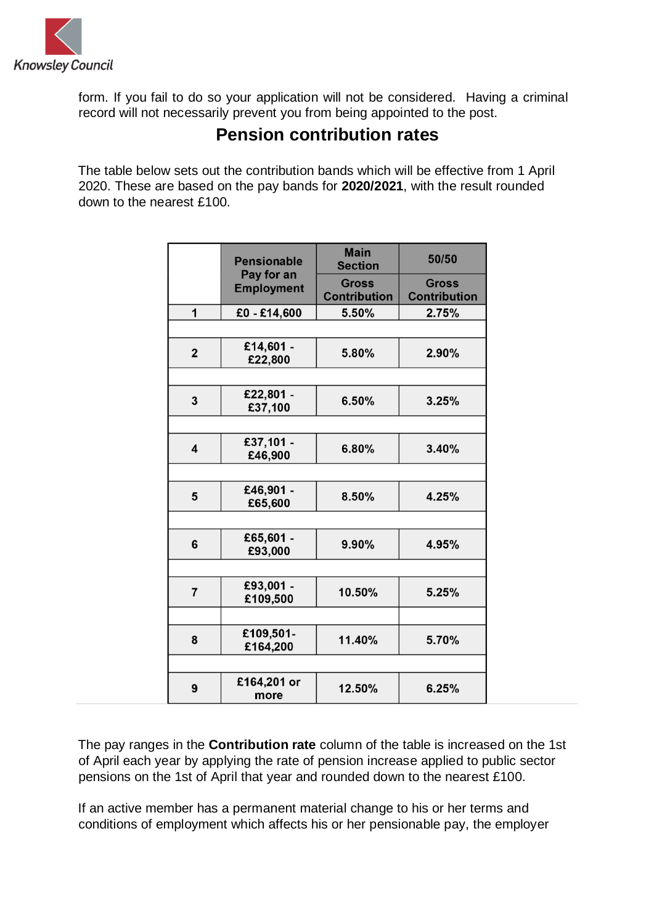

form. If you fail to do so your application will not be considered. Having a criminal record will not necessarily prevent you from being appointed to the post.

## **Pension contribution rates**

The table below sets out the contribution bands which will be effective from 1 April 2020. These are based on the pay bands for **2020/2021**, with the result rounded down to the nearest £100.

|                         | <b>Pensionable</b>              | <b>Main</b><br><b>Section</b>       | 50/50                               |  |
|-------------------------|---------------------------------|-------------------------------------|-------------------------------------|--|
|                         | Pay for an<br><b>Employment</b> | <b>Gross</b><br><b>Contribution</b> | <b>Gross</b><br><b>Contribution</b> |  |
| 1                       | £0 - £14,600                    | 5.50%                               | 2.75%                               |  |
|                         |                                 |                                     |                                     |  |
| $\overline{2}$          | £14,601 -<br>£22,800            | 5.80%                               | 2.90%                               |  |
|                         |                                 |                                     |                                     |  |
| 3                       | £22,801 -<br>£37,100            | 6.50%                               | 3.25%                               |  |
|                         |                                 |                                     |                                     |  |
| $\overline{\mathbf{4}}$ | £37,101 -<br>£46,900            | 6.80%                               | 3.40%                               |  |
|                         |                                 |                                     |                                     |  |
| 5                       | £46,901 -<br>£65,600            | 8.50%                               | 4.25%                               |  |
|                         |                                 |                                     |                                     |  |
| 6                       | £65,601 -<br>£93,000            | 9.90%                               | 4.95%                               |  |
|                         |                                 |                                     |                                     |  |
| $\overline{7}$          | £93,001 -<br>£109,500           | 10.50%                              | 5.25%                               |  |
|                         |                                 |                                     |                                     |  |
| 8                       | £109,501-<br>£164,200           | 11.40%                              | 5.70%                               |  |
|                         |                                 |                                     |                                     |  |
| 9                       | £164,201 or<br>more             | 12.50%                              | 6.25%                               |  |

The pay ranges in the **Contribution rate** column of the table is increased on the 1st of April each year by applying the rate of pension increase applied to public sector pensions on the 1st of April that year and rounded down to the nearest £100.

If an active member has a permanent material change to his or her terms and conditions of employment which affects his or her pensionable pay, the employer